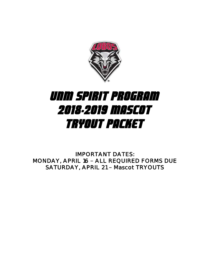

# UNM SPIRIT PROGRAM 2018-2019 mascot Tryout Packet

IMPORTANT DATES: MONDAY, APRIL 16 - ALL REQUIRED FORMS DUE SATURDAY, APRIL 21 - Mascot TRYOUTS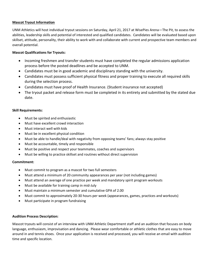#### **Mascot Tryout Information**

UNM Athletics will host individual tryout sessions on Saturday, April 21, 2017 at WisePies Arena—The Pit, to assess the abilities, leadership skills and potential of interested and qualified candidates. Candidates will be evaluated based upon skillset, attitude, personality, their ability to work with and collaborate with current and prospective team members and overall potential.

#### **Mascot Qualifications for Tryouts:**

- Incoming freshmen and transfer students must have completed the regular admissions application process before the posted deadlines and be accepted to UNM.
- Candidates must be in good academic and disciplinary standing with the university.
- Candidates must possess sufficient physical fitness and proper training to execute all required skills during the selection process.
- Candidates must have proof of Health Insurance. (Student insurance not accepted)
- The tryout packet and release form must be completed in its entirety and submitted by the stated due date.

#### **Skill Requirements:**

- Must be spirited and enthusiastic
- Must have excellent crowd interaction
- Must interact well with kids
- Must be in excellent physical condition
- Must be able to handle/deal with negativity from opposing teams' fans; always stay positive
- Must be accountable, timely and responsible
- Must be positive and respect your teammates, coaches and supervisors
- Must be willing to practice skillset and routines without direct supervision

#### **Commitment:**

- Must commit to program as a mascot for two full semesters
- Must attend a minimum of 20 community appearances per year (not including games)
- Must attend an average of one practice per week and mandatory spirit program workouts
- Must be available for training camp in mid-July
- Must maintain a minimum semester and cumulative GPA of 2.00
- Must commit to approximately 20-30 hours per week (appearances, games, practices and workouts)
- Must participate in program fundraising

#### **Audition Process Description:**

Mascot tryouts will consist of an interview with UNM Athletic Department staff and an audition that focuses on body language, enthusiasm, improvisation and dancing. Please wear comfortable or athletic clothes that are easy to move around in and tennis shoes. Once your application is received and processed, you will receive an email with audition time and specific location.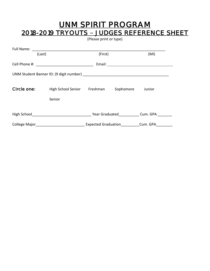### UNM SPIRIT PROGRAM <u> 2018-2019 TRYOUTS – JUDGES REFERENCE SHEET</u>

(Please print or type)

|                                                                                   | (Last)                       | (First)                    |           | (MI)     |
|-----------------------------------------------------------------------------------|------------------------------|----------------------------|-----------|----------|
|                                                                                   |                              |                            |           |          |
|                                                                                   |                              |                            |           |          |
| Circle one:                                                                       | High School Senior<br>Senior | Freshman                   | Sophomore | Junior   |
| High School Manual Manual Mear Graduated Migh School Manual Manual Mear Graduated |                              |                            |           | Cum. GPA |
|                                                                                   |                              | <b>Expected Graduation</b> |           | Cum. GPA |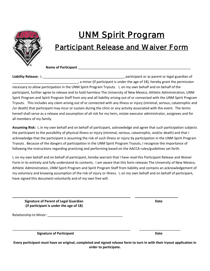

## UNM Spirit Program **Participant Release and Waiver Form**

**Name of Participant Name of Participant** 

**Liability Release:** I, \_\_\_\_\_\_\_\_\_\_\_\_\_\_\_\_\_\_\_\_\_\_\_\_\_\_\_\_\_\_\_\_\_\_\_\_\_\_\_\_\_\_\_, participant or as parent or legal guardian of \_\_\_\_\_\_\_\_\_\_\_\_\_\_\_\_\_\_\_\_\_\_\_\_\_\_\_\_\_\_\_\_\_\_\_, a minor (if participant is under the age of 18), hereby grant the permission necessary to allow participation in the UNM Spirit Program Tryouts. I, on my own behalf and on behalf of the participant, further agree to release and to hold harmless The University of New Mexico, Athletic Administration, UNM Spirit Program and Spirit Program Staff from any and all liability arising out of or connected with the UNM Spirit Program Tryouts. This includes any claim arising out of or connected with any illness or injury (minimal, serious, catastrophic and /or death) that participant may incur or sustain during the clinic or any activity associated with the event. The terms hereof shall serve as a release and assumption of all risk for my heirs, estate executor administrator, assignees and for all members of my family.

**Assuming Risk:** I, in my own behalf and on behalf of participant, acknowledge and agree that such participation subjects the participant to the possibility of physical illness or injury (minimal, serious, catastrophic, and/or death) and that I acknowledge that the participant is assuming the risk of such illness or injury by participation in the UNM Spirit Program Tryouts. Because of the dangers of participation in the UNM Spirit Program Tryouts, I recognize the importance of following the instructions regarding practicing and performing based on the AACCA rules/guidelines set forth.

I, on my own behalf and on behalf of participant, hereby warrant that I have read this Participant Release and Waiver Form in its entirety and fully understand its contents. I am aware that this form releases The University of New Mexico, Athletic Administration, UNM Spirit Program and Spirit Program Staff from liability and contains an acknowledgement of my voluntary and knowing assumption of the risk of injury or illness. I, on my own behalf and on behalf of participant, have signed this document voluntarily and of my own free will.

**\_\_\_\_\_\_\_\_\_\_\_\_\_\_\_\_\_\_\_\_\_\_\_\_\_\_\_\_\_\_\_\_\_\_\_\_\_\_\_\_\_\_\_\_\_\_\_\_\_\_\_\_\_\_\_\_\_\_\_\_\_\_\_ \_\_\_\_\_\_\_\_\_\_\_\_\_\_\_\_\_\_\_\_\_\_\_**

\_\_\_\_\_\_\_\_\_\_\_\_\_\_\_\_\_\_\_\_\_\_\_\_\_\_\_\_\_\_\_\_\_\_\_\_\_\_\_\_\_\_\_\_\_\_\_\_\_\_\_\_\_\_\_\_\_\_\_\_\_\_\_ \_\_\_\_\_\_\_\_\_\_\_\_\_\_\_\_\_\_\_\_\_\_

**Signature of Parent of Legal Guardian Date According to the United State Date (if participant is under the age of 18)**

Relationship to Minor: **William Strategies** 

**Signature of Participant Community Community Community Community Community Community Community Community Community** 

**Every participant must have an original, completed and signed release form to turn in with their tryout application in order to participate.**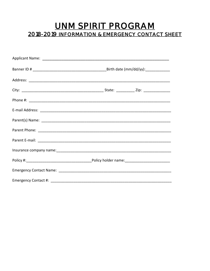### UNM SPIRIT PROGRAM 2018-2019 INFORMATION & EMERGENCY CONTACT SHEET

| Emergency Contact #: ________________ |  |  |  |  |
|---------------------------------------|--|--|--|--|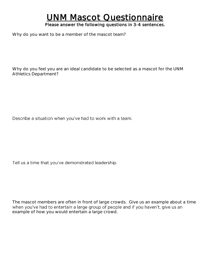## UNM Mascot Questionnaire

Please answer the following questions in 3-4 sentences.

Why do you want to be a member of the mascot team?

Why do you feel you are an ideal candidate to be selected as a mascot for the UNM Athletics Department?

Describe a situation when you've had to work with a team.

Tell us a time that you've demonstrated leadership.

The mascot members are often in front of large crowds. Give us an example about a time when you've had to entertain a large group of people and if you haven't, give us an example of how you would entertain a large crowd.